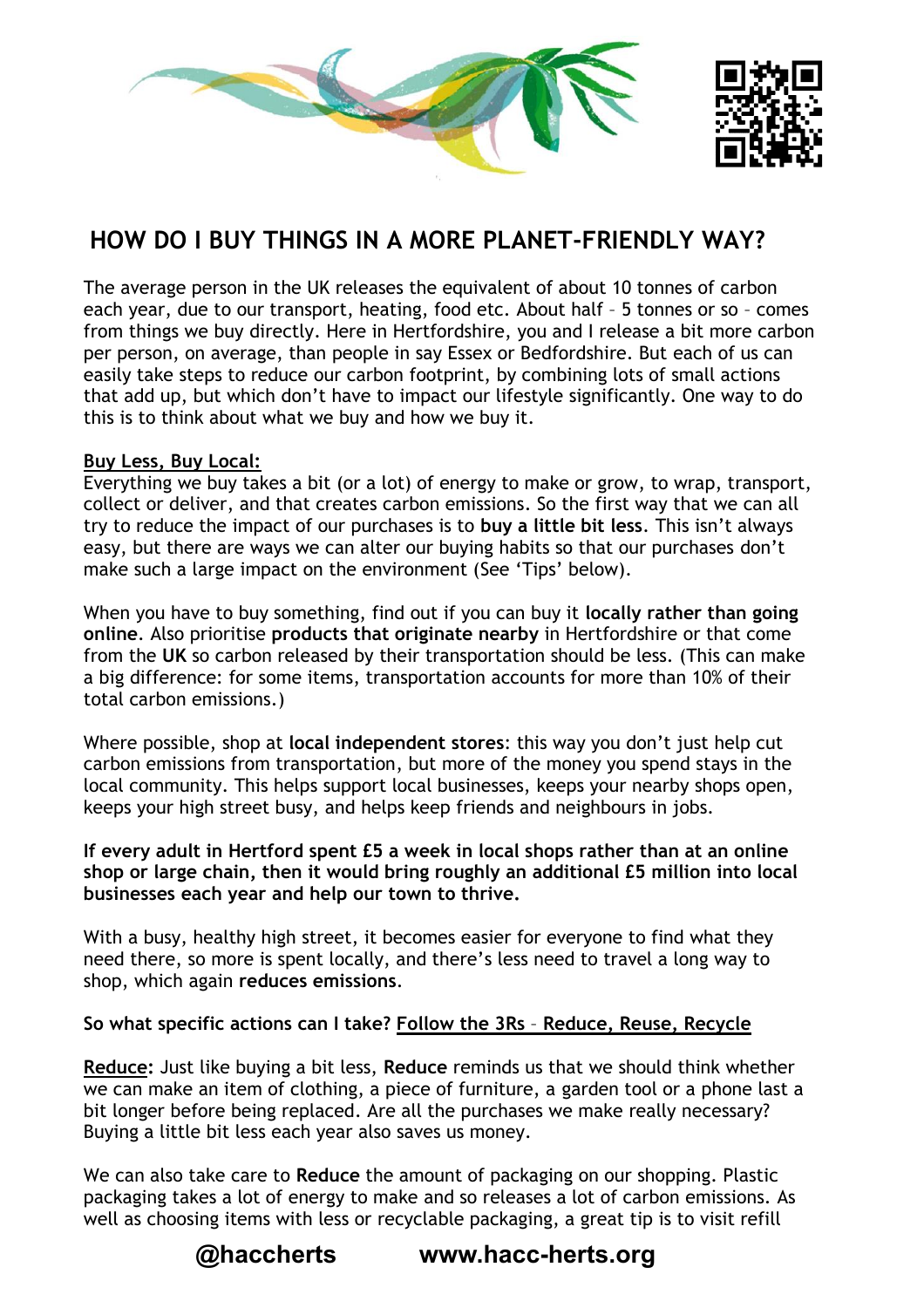

# **HOW DO I BUY THINGS IN A MORE PLANET-FRIENDLY WAY?**

The average person in the UK releases the equivalent of about 10 tonnes of carbon each year, due to our transport, heating, food etc. About half – 5 tonnes or so – comes from things we buy directly. Here in Hertfordshire, you and I release a bit more carbon per person, on average, than people in say Essex or Bedfordshire. But each of us can easily take steps to reduce our carbon footprint, by combining lots of small actions that add up, but which don't have to impact our lifestyle significantly. One way to do this is to think about what we buy and how we buy it.

#### **Buy Less, Buy Local:**

Everything we buy takes a bit (or a lot) of energy to make or grow, to wrap, transport, collect or deliver, and that creates carbon emissions. So the first way that we can all try to reduce the impact of our purchases is to **buy a little bit less**. This isn't always easy, but there are ways we can alter our buying habits so that our purchases don't make such a large impact on the environment (See 'Tips' below).

When you have to buy something, find out if you can buy it **locally rather than going online**. Also prioritise **products that originate nearby** in Hertfordshire or that come from the **UK** so carbon released by their transportation should be less. (This can make a big difference: for some items, transportation accounts for more than 10% of their total carbon emissions.)

Where possible, shop at **local independent stores**: this way you don't just help cut carbon emissions from transportation, but more of the money you spend stays in the local community. This helps support local businesses, keeps your nearby shops open, keeps your high street busy, and helps keep friends and neighbours in jobs.

#### **If every adult in Hertford spent £5 a week in local shops rather than at an online shop or large chain, then it would bring roughly an additional £5 million into local businesses each year and help our town to thrive.**

With a busy, healthy high street, it becomes easier for everyone to find what they need there, so more is spent locally, and there's less need to travel a long way to shop, which again **reduces emissions**.

#### **So what specific actions can I take? Follow the 3Rs** – **Reduce, Reuse, Recycle**

**Reduce:** Just like buying a bit less, **Reduce** reminds us that we should think whether we can make an item of clothing, a piece of furniture, a garden tool or a phone last a bit longer before being replaced. Are all the purchases we make really necessary? Buying a little bit less each year also saves us money.

We can also take care to **Reduce** the amount of packaging on our shopping. Plastic packaging takes a lot of energy to make and so releases a lot of carbon emissions. As well as choosing items with less or recyclable packaging, a great tip is to visit refill

## **@haccherts www.hacc-herts.org**